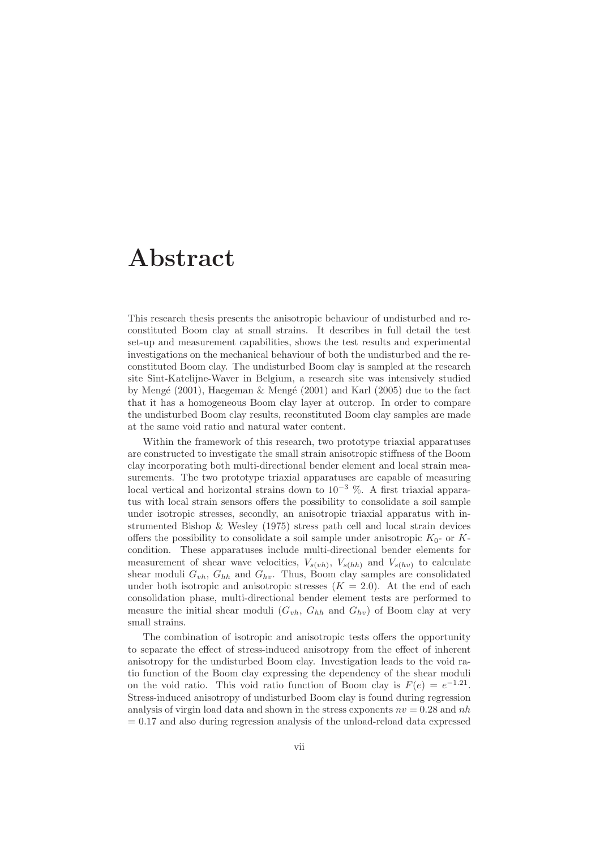## Abstract

This research thesis presents the anisotropic behaviour of undisturbed and reconstituted Boom clay at small strains. It describes in full detail the test set-up and measurement capabilities, shows the test results and experimental investigations on the mechanical behaviour of both the undisturbed and the reconstituted Boom clay. The undisturbed Boom clay is sampled at the research site Sint-Katelijne-Waver in Belgium, a research site was intensively studied by Mengé (2001), Haegeman  $\&$  Mengé (2001) and Karl (2005) due to the fact that it has a homogeneous Boom clay layer at outcrop. In order to compare the undisturbed Boom clay results, reconstituted Boom clay samples are made at the same void ratio and natural water content.

Within the framework of this research, two prototype triaxial apparatuses are constructed to investigate the small strain anisotropic stiffness of the Boom clay incorporating both multi-directional bender element and local strain measurements. The two prototype triaxial apparatuses are capable of measuring local vertical and horizontal strains down to  $10^{-3}$  %. A first triaxial apparatus with local strain sensors offers the possibility to consolidate a soil sample under isotropic stresses, secondly, an anisotropic triaxial apparatus with instrumented Bishop & Wesley (1975) stress path cell and local strain devices offers the possibility to consolidate a soil sample under anisotropic  $K_0$ - or Kcondition. These apparatuses include multi-directional bender elements for measurement of shear wave velocities,  $V_{s(vh)}$ ,  $V_{s(hh)}$  and  $V_{s(hv)}$  to calculate shear moduli  $G_{vh}$ ,  $G_{hh}$  and  $G_{hv}$ . Thus, Boom clay samples are consolidated under both isotropic and anisotropic stresses  $(K = 2.0)$ . At the end of each consolidation phase, multi-directional bender element tests are performed to measure the initial shear moduli  $(G_{vh}, G_{hh}$  and  $G_{hv})$  of Boom clay at very small strains.

The combination of isotropic and anisotropic tests offers the opportunity to separate the effect of stress-induced anisotropy from the effect of inherent anisotropy for the undisturbed Boom clay. Investigation leads to the void ratio function of the Boom clay expressing the dependency of the shear moduli on the void ratio. This void ratio function of Boom clay is  $F(e) = e^{-1.21}$ . Stress-induced anisotropy of undisturbed Boom clay is found during regression analysis of virgin load data and shown in the stress exponents  $nv = 0.28$  and nh  $= 0.17$  and also during regression analysis of the unload-reload data expressed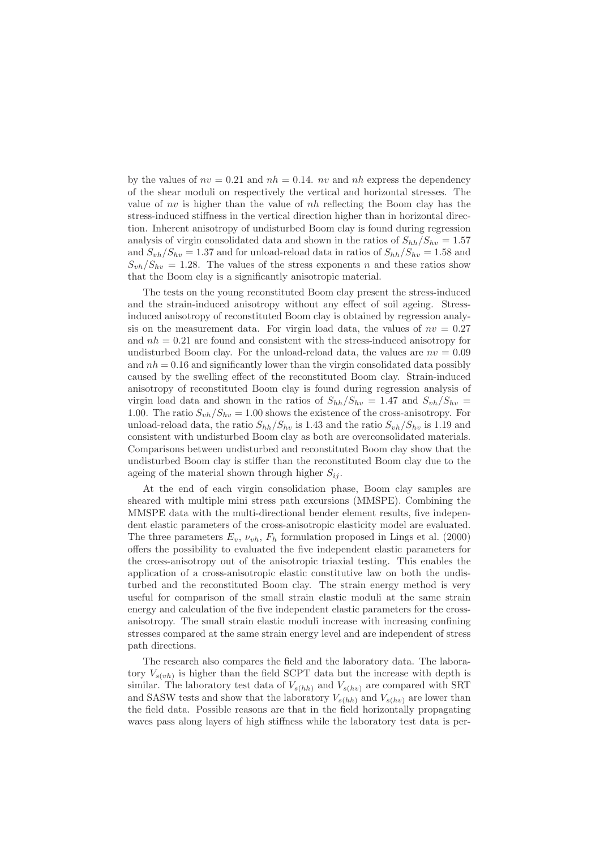by the values of  $nv = 0.21$  and  $nh = 0.14$ . nv and nh express the dependency of the shear moduli on respectively the vertical and horizontal stresses. The value of nv is higher than the value of  $nh$  reflecting the Boom clay has the stress-induced stiffness in the vertical direction higher than in horizontal direction. Inherent anisotropy of undisturbed Boom clay is found during regression analysis of virgin consolidated data and shown in the ratios of  $S_{hh}/S_{hv} = 1.57$ and  $S_{vh}/S_{hv} = 1.37$  and for unload-reload data in ratios of  $S_{hh}/S_{hv} = 1.58$  and  $S_{vh}/S_{hv} = 1.28$ . The values of the stress exponents n and these ratios show that the Boom clay is a significantly anisotropic material.

The tests on the young reconstituted Boom clay present the stress-induced and the strain-induced anisotropy without any effect of soil ageing. Stressinduced anisotropy of reconstituted Boom clay is obtained by regression analysis on the measurement data. For virgin load data, the values of  $nv = 0.27$ and  $nh = 0.21$  are found and consistent with the stress-induced anisotropy for undisturbed Boom clay. For the unload-reload data, the values are  $nv = 0.09$ and  $nh = 0.16$  and significantly lower than the virgin consolidated data possibly caused by the swelling effect of the reconstituted Boom clay. Strain-induced anisotropy of reconstituted Boom clay is found during regression analysis of virgin load data and shown in the ratios of  $S_{hh}/S_{hv} = 1.47$  and  $S_{vh}/S_{hv} =$ 1.00. The ratio  $S_{vh}/S_{hv} = 1.00$  shows the existence of the cross-anisotropy. For unload-reload data, the ratio  $S_{hh}/S_{hv}$  is 1.43 and the ratio  $S_{vh}/S_{hv}$  is 1.19 and consistent with undisturbed Boom clay as both are overconsolidated materials. Comparisons between undisturbed and reconstituted Boom clay show that the undisturbed Boom clay is stiffer than the reconstituted Boom clay due to the ageing of the material shown through higher  $S_{ij}$ .

At the end of each virgin consolidation phase, Boom clay samples are sheared with multiple mini stress path excursions (MMSPE). Combining the MMSPE data with the multi-directional bender element results, five independent elastic parameters of the cross-anisotropic elasticity model are evaluated. The three parameters  $E_v$ ,  $\nu_{vh}$ ,  $F_h$  formulation proposed in Lings et al. (2000) offers the possibility to evaluated the five independent elastic parameters for the cross-anisotropy out of the anisotropic triaxial testing. This enables the application of a cross-anisotropic elastic constitutive law on both the undisturbed and the reconstituted Boom clay. The strain energy method is very useful for comparison of the small strain elastic moduli at the same strain energy and calculation of the five independent elastic parameters for the crossanisotropy. The small strain elastic moduli increase with increasing confining stresses compared at the same strain energy level and are independent of stress path directions.

The research also compares the field and the laboratory data. The laboratory  $V_{s(vh)}$  is higher than the field SCPT data but the increase with depth is similar. The laboratory test data of  $V_{s(hh)}$  and  $V_{s(hv)}$  are compared with SRT and SASW tests and show that the laboratory  $V_{s(hh)}$  and  $V_{s(hv)}$  are lower than the field data. Possible reasons are that in the field horizontally propagating waves pass along layers of high stiffness while the laboratory test data is per